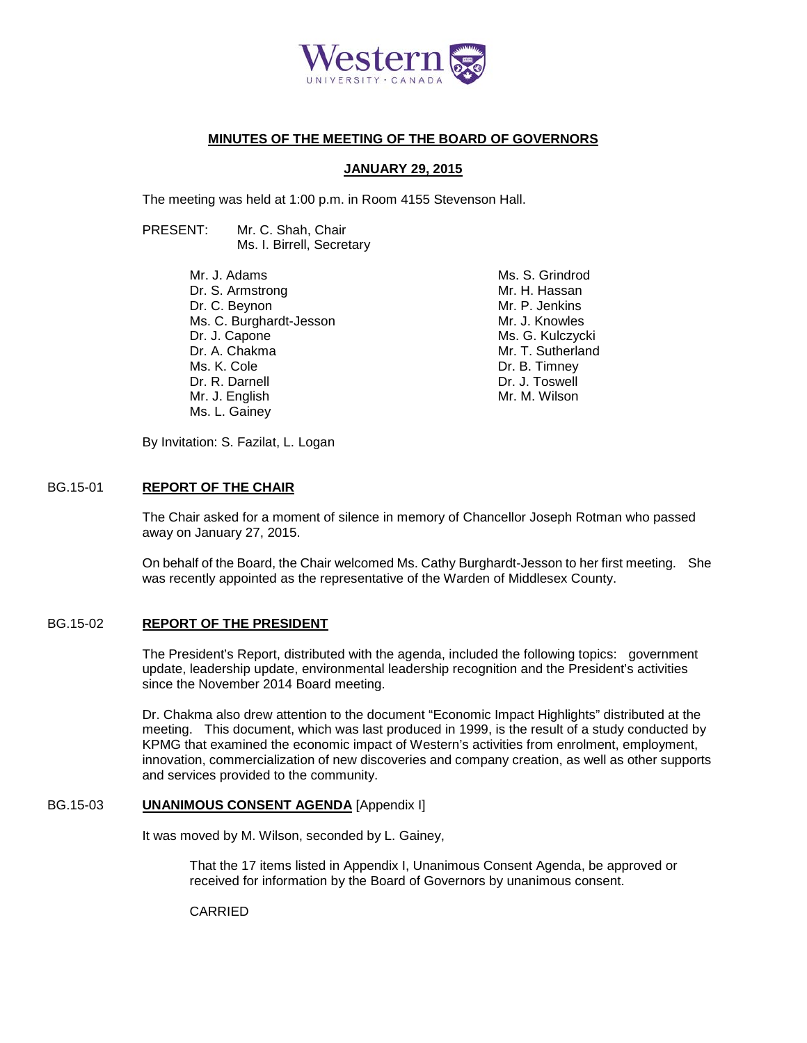

# **MINUTES OF THE MEETING OF THE BOARD OF GOVERNORS**

### **JANUARY 29, 2015**

The meeting was held at 1:00 p.m. in Room 4155 Stevenson Hall.

PRESENT: Mr. C. Shah, Chair Ms. I. Birrell, Secretary

> Mr. J. Adams Dr. S. Armstrong Dr. C. Beynon Ms. C. Burghardt-Jesson Dr. J. Capone Dr. A. Chakma Ms. K. Cole Dr. R. Darnell Mr. J. English Ms. L. Gainey

Ms. S. Grindrod Mr. H. Hassan Mr. P. Jenkins Mr. J. Knowles Ms. G. Kulczycki Mr. T. Sutherland Dr. B. Timney Dr. J. Toswell Mr. M. Wilson

By Invitation: S. Fazilat, L. Logan

#### BG.15-01 **REPORT OF THE CHAIR**

The Chair asked for a moment of silence in memory of Chancellor Joseph Rotman who passed away on January 27, 2015.

On behalf of the Board, the Chair welcomed Ms. Cathy Burghardt-Jesson to her first meeting. She was recently appointed as the representative of the Warden of Middlesex County.

# BG.15-02 **REPORT OF THE PRESIDENT**

The President's Report, distributed with the agenda, included the following topics: government update, leadership update, environmental leadership recognition and the President's activities since the November 2014 Board meeting.

Dr. Chakma also drew attention to the document "Economic Impact Highlights" distributed at the meeting. This document, which was last produced in 1999, is the result of a study conducted by KPMG that examined the economic impact of Western's activities from enrolment, employment, innovation, commercialization of new discoveries and company creation, as well as other supports and services provided to the community.

## BG.15-03 **UNANIMOUS CONSENT AGENDA** [Appendix I]

It was moved by M. Wilson, seconded by L. Gainey,

That the 17 items listed in Appendix I, Unanimous Consent Agenda, be approved or received for information by the Board of Governors by unanimous consent.

CARRIED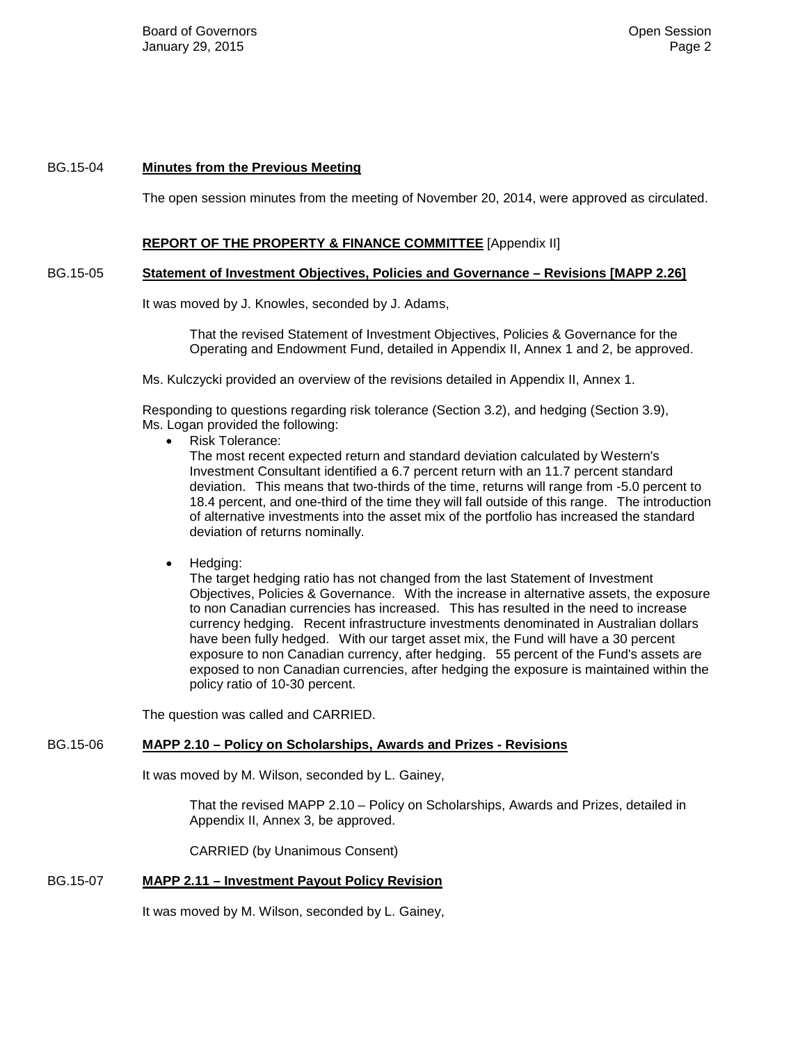## BG.15-04 **Minutes from the Previous Meeting**

The open session minutes from the meeting of November 20, 2014, were approved as circulated.

### **REPORT OF THE PROPERTY & FINANCE COMMITTEE** [Appendix II]

#### BG.15-05 **Statement of Investment Objectives, Policies and Governance – Revisions [MAPP 2.26]**

It was moved by J. Knowles, seconded by J. Adams,

That the revised Statement of Investment Objectives, Policies & Governance for the Operating and Endowment Fund, detailed in Appendix II, Annex 1 and 2, be approved.

Ms. Kulczycki provided an overview of the revisions detailed in Appendix II, Annex 1.

Responding to questions regarding risk tolerance (Section 3.2), and hedging (Section 3.9), Ms. Logan provided the following:

• Risk Tolerance:

The most recent expected return and standard deviation calculated by Western's Investment Consultant identified a 6.7 percent return with an 11.7 percent standard deviation. This means that two-thirds of the time, returns will range from -5.0 percent to 18.4 percent, and one-third of the time they will fall outside of this range. The introduction of alternative investments into the asset mix of the portfolio has increased the standard deviation of returns nominally.

• Hedging:

The target hedging ratio has not changed from the last Statement of Investment Objectives, Policies & Governance. With the increase in alternative assets, the exposure to non Canadian currencies has increased. This has resulted in the need to increase currency hedging. Recent infrastructure investments denominated in Australian dollars have been fully hedged. With our target asset mix, the Fund will have a 30 percent exposure to non Canadian currency, after hedging. 55 percent of the Fund's assets are exposed to non Canadian currencies, after hedging the exposure is maintained within the policy ratio of 10-30 percent.

The question was called and CARRIED.

### BG.15-06 **MAPP 2.10 – Policy on Scholarships, Awards and Prizes - Revisions**

It was moved by M. Wilson, seconded by L. Gainey,

That the revised MAPP 2.10 – Policy on Scholarships, Awards and Prizes, detailed in Appendix II, Annex 3, be approved.

CARRIED (by Unanimous Consent)

# BG.15-07 **MAPP 2.11 – Investment Payout Policy Revision**

It was moved by M. Wilson, seconded by L. Gainey,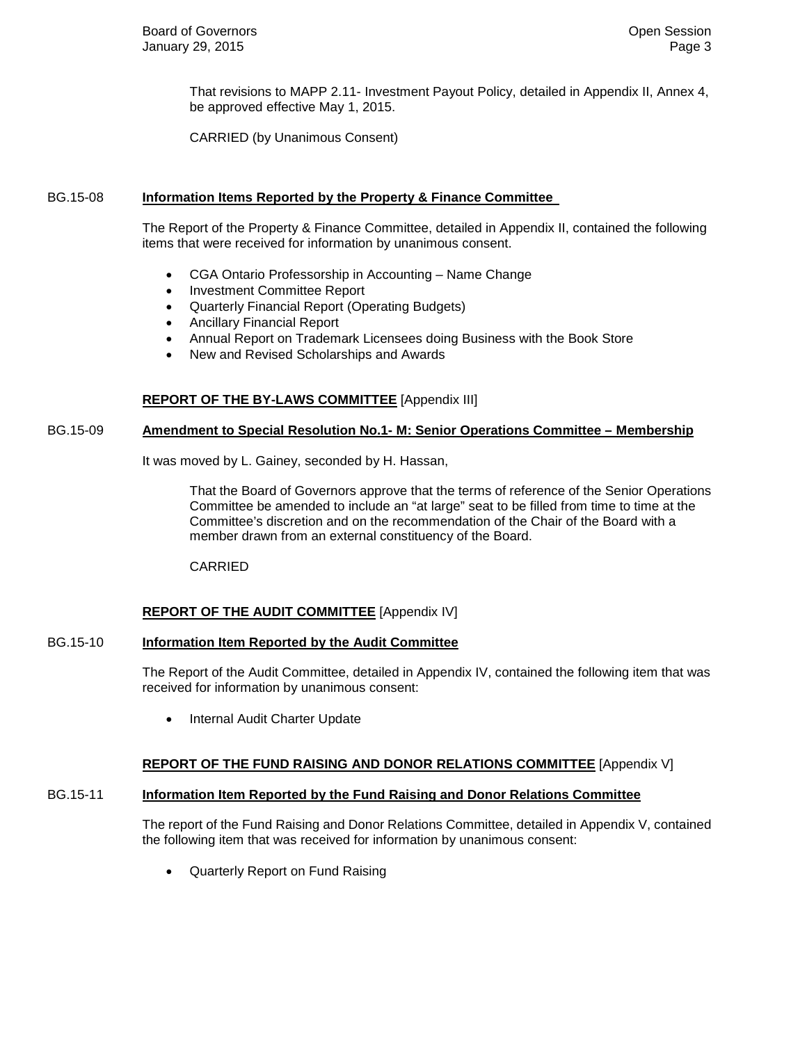That revisions to MAPP 2.11- Investment Payout Policy, detailed in Appendix II, Annex 4, be approved effective May 1, 2015.

CARRIED (by Unanimous Consent)

#### BG.15-08 **Information Items Reported by the Property & Finance Committee**

The Report of the Property & Finance Committee, detailed in Appendix II, contained the following items that were received for information by unanimous consent.

- CGA Ontario Professorship in Accounting Name Change
- Investment Committee Report
- Quarterly Financial Report (Operating Budgets)
- Ancillary Financial Report
- Annual Report on Trademark Licensees doing Business with the Book Store
- New and Revised Scholarships and Awards

#### **REPORT OF THE BY-LAWS COMMITTEE** [Appendix III]

#### BG.15-09 **Amendment to Special Resolution No.1- M: Senior Operations Committee – Membership**

It was moved by L. Gainey, seconded by H. Hassan,

That the Board of Governors approve that the terms of reference of the Senior Operations Committee be amended to include an "at large" seat to be filled from time to time at the Committee's discretion and on the recommendation of the Chair of the Board with a member drawn from an external constituency of the Board.

CARRIED

## **REPORT OF THE AUDIT COMMITTEE** [Appendix IV]

#### BG.15-10 **Information Item Reported by the Audit Committee**

The Report of the Audit Committee, detailed in Appendix IV, contained the following item that was received for information by unanimous consent:

• Internal Audit Charter Update

## **REPORT OF THE FUND RAISING AND DONOR RELATIONS COMMITTEE** [Appendix V]

#### BG.15-11 **Information Item Reported by the Fund Raising and Donor Relations Committee**

The report of the Fund Raising and Donor Relations Committee, detailed in Appendix V, contained the following item that was received for information by unanimous consent:

• Quarterly Report on Fund Raising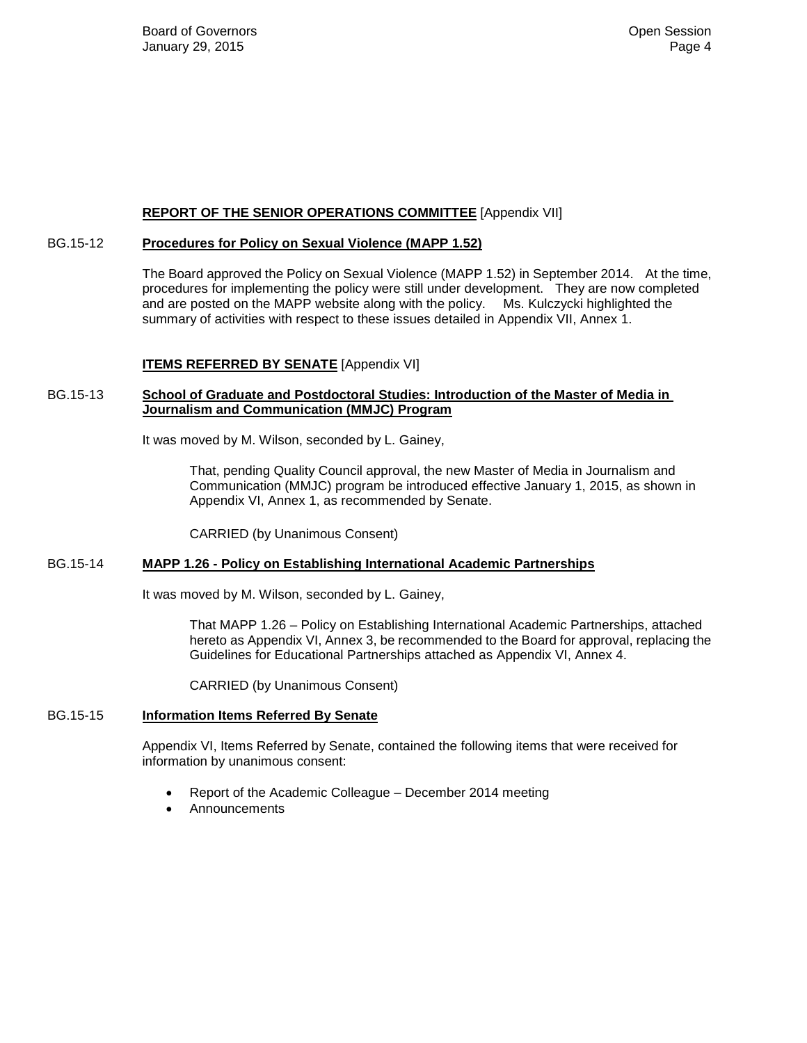# **REPORT OF THE SENIOR OPERATIONS COMMITTEE** [Appendix VII]

# BG.15-12 **Procedures for Policy on Sexual Violence (MAPP 1.52)**

The Board approved the Policy on Sexual Violence (MAPP 1.52) in September 2014. At the time, procedures for implementing the policy were still under development. They are now completed and are posted on the MAPP website along with the policy. Ms. Kulczycki highlighted the summary of activities with respect to these issues detailed in Appendix VII, Annex 1.

# **ITEMS REFERRED BY SENATE** [Appendix VI]

# BG.15-13 **School of Graduate and Postdoctoral Studies: Introduction of the Master of Media in Journalism and Communication (MMJC) Program**

It was moved by M. Wilson, seconded by L. Gainey,

That, pending Quality Council approval, the new Master of Media in Journalism and Communication (MMJC) program be introduced effective January 1, 2015, as shown in Appendix VI, Annex 1, as recommended by Senate.

CARRIED (by Unanimous Consent)

# BG.15-14 **MAPP 1.26 - Policy on Establishing International Academic Partnerships**

It was moved by M. Wilson, seconded by L. Gainey,

That MAPP 1.26 – Policy on Establishing International Academic Partnerships, attached hereto as Appendix VI, Annex 3, be recommended to the Board for approval, replacing the Guidelines for Educational Partnerships attached as Appendix VI, Annex 4.

CARRIED (by Unanimous Consent)

## BG.15-15 **Information Items Referred By Senate**

Appendix VI, Items Referred by Senate, contained the following items that were received for information by unanimous consent:

- Report of the Academic Colleague December 2014 meeting
- Announcements